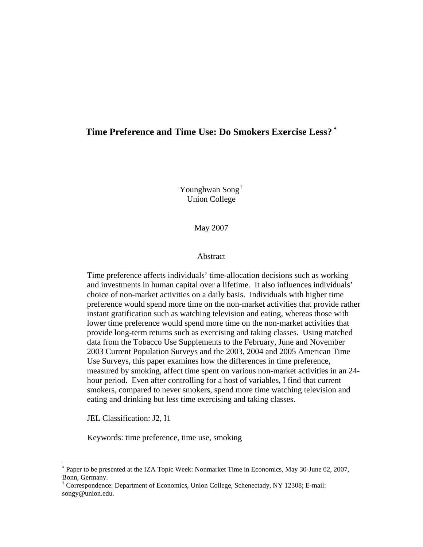## **Time Preference and Time Use: Do Smokers Exercise Less? [\\*](#page-0-0)**

Younghwan Song[†](#page-0-1) Union College

May 2007

### Abstract

Time preference affects individuals' time-allocation decisions such as working and investments in human capital over a lifetime. It also influences individuals' choice of non-market activities on a daily basis. Individuals with higher time preference would spend more time on the non-market activities that provide rather instant gratification such as watching television and eating, whereas those with lower time preference would spend more time on the non-market activities that provide long-term returns such as exercising and taking classes. Using matched data from the Tobacco Use Supplements to the February, June and November 2003 Current Population Surveys and the 2003, 2004 and 2005 American Time Use Surveys, this paper examines how the differences in time preference, measured by smoking, affect time spent on various non-market activities in an 24 hour period. Even after controlling for a host of variables, I find that current smokers, compared to never smokers, spend more time watching television and eating and drinking but less time exercising and taking classes.

JEL Classification: J2, I1

 $\overline{a}$ 

Keywords: time preference, time use, smoking

<span id="page-0-0"></span><sup>∗</sup> Paper to be presented at the IZA Topic Week: Nonmarket Time in Economics, May 30-June 02, 2007, Bonn, Germany.

<span id="page-0-1"></span><sup>†</sup> Correspondence: Department of Economics, Union College, Schenectady, NY 12308; E-mail: songy@union.edu.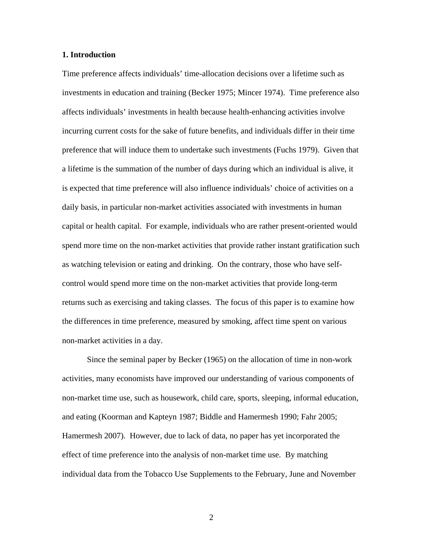#### **1. Introduction**

Time preference affects individuals' time-allocation decisions over a lifetime such as investments in education and training (Becker 1975; Mincer 1974). Time preference also affects individuals' investments in health because health-enhancing activities involve incurring current costs for the sake of future benefits, and individuals differ in their time preference that will induce them to undertake such investments (Fuchs 1979). Given that a lifetime is the summation of the number of days during which an individual is alive, it is expected that time preference will also influence individuals' choice of activities on a daily basis, in particular non-market activities associated with investments in human capital or health capital. For example, individuals who are rather present-oriented would spend more time on the non-market activities that provide rather instant gratification such as watching television or eating and drinking. On the contrary, those who have selfcontrol would spend more time on the non-market activities that provide long-term returns such as exercising and taking classes. The focus of this paper is to examine how the differences in time preference, measured by smoking, affect time spent on various non-market activities in a day.

 Since the seminal paper by Becker (1965) on the allocation of time in non-work activities, many economists have improved our understanding of various components of non-market time use, such as housework, child care, sports, sleeping, informal education, and eating (Koorman and Kapteyn 1987; Biddle and Hamermesh 1990; Fahr 2005; Hamermesh 2007). However, due to lack of data, no paper has yet incorporated the effect of time preference into the analysis of non-market time use. By matching individual data from the Tobacco Use Supplements to the February, June and November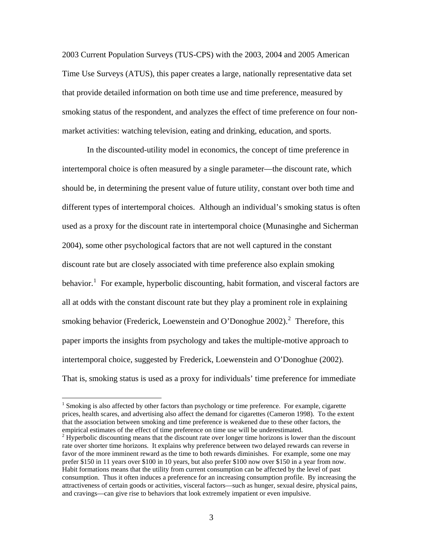2003 Current Population Surveys (TUS-CPS) with the 2003, 2004 and 2005 American Time Use Surveys (ATUS), this paper creates a large, nationally representative data set that provide detailed information on both time use and time preference, measured by smoking status of the respondent, and analyzes the effect of time preference on four nonmarket activities: watching television, eating and drinking, education, and sports.

 In the discounted-utility model in economics, the concept of time preference in intertemporal choice is often measured by a single parameter—the discount rate, which should be, in determining the present value of future utility, constant over both time and different types of intertemporal choices. Although an individual's smoking status is often used as a proxy for the discount rate in intertemporal choice (Munasinghe and Sicherman 2004), some other psychological factors that are not well captured in the constant discount rate but are closely associated with time preference also explain smoking behavior.<sup>[1](#page-2-0)</sup> For example, hyperbolic discounting, habit formation, and visceral factors are all at odds with the constant discount rate but they play a prominent role in explaining smoking behavior (Frederick, Loewenstein and O'Donoghue  $2002$  $2002$ ).<sup>2</sup> Therefore, this paper imports the insights from psychology and takes the multiple-motive approach to intertemporal choice, suggested by Frederick, Loewenstein and O'Donoghue (2002). That is, smoking status is used as a proxy for individuals' time preference for immediate

<span id="page-2-0"></span><sup>&</sup>lt;sup>1</sup> Smoking is also affected by other factors than psychology or time preference. For example, cigarette prices, health scares, and advertising also affect the demand for cigarettes (Cameron 1998). To the extent that the association between smoking and time preference is weakened due to these other factors, the empirical estimates of the effect of time preference on time use will be underestimated. 2

<span id="page-2-1"></span><sup>&</sup>lt;sup>2</sup> Hyperbolic discounting means that the discount rate over longer time horizons is lower than the discount rate over shorter time horizons. It explains why preference between two delayed rewards can reverse in favor of the more imminent reward as the time to both rewards diminishes. For example, some one may prefer \$150 in 11 years over \$100 in 10 years, but also prefer \$100 now over \$150 in a year from now. Habit formations means that the utility from current consumption can be affected by the level of past consumption. Thus it often induces a preference for an increasing consumption profile. By increasing the attractiveness of certain goods or activities, visceral factors—such as hunger, sexual desire, physical pains, and cravings—can give rise to behaviors that look extremely impatient or even impulsive.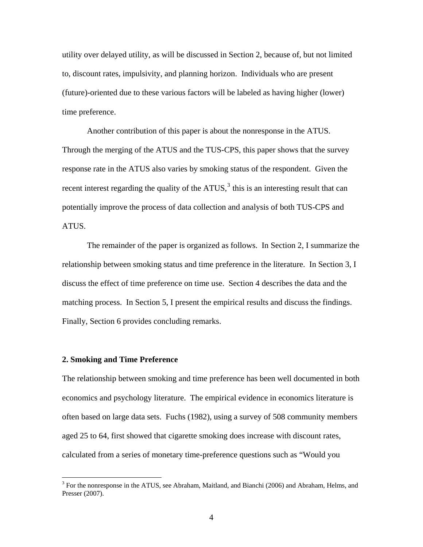<span id="page-3-0"></span>utility over delayed utility, as will be discussed in Section 2, because of, but not limited to, discount rates, impulsivity, and planning horizon. Individuals who are present (future)-oriented due to these various factors will be labeled as having higher (lower) time preference.

 Another contribution of this paper is about the nonresponse in the ATUS. Through the merging of the ATUS and the TUS-CPS, this paper shows that the survey response rate in the ATUS also varies by smoking status of the respondent. Given the recent interest regarding the quality of the ATUS, $3$  this is an interesting result that can potentially improve the process of data collection and analysis of both TUS-CPS and ATUS.

The remainder of the paper is organized as follows. In Section 2, I summarize the relationship between smoking status and time preference in the literature. In Section 3, I discuss the effect of time preference on time use. Section 4 describes the data and the matching process. In Section 5, I present the empirical results and discuss the findings. Finally, Section 6 provides concluding remarks.

### **2. Smoking and Time Preference**

 $\overline{a}$ 

The relationship between smoking and time preference has been well documented in both economics and psychology literature. The empirical evidence in economics literature is often based on large data sets. Fuchs (1982), using a survey of 508 community members aged 25 to 64, first showed that cigarette smoking does increase with discount rates, calculated from a series of monetary time-preference questions such as "Would you

<sup>&</sup>lt;sup>3</sup> For the nonresponse in the ATUS, see Abraham, Maitland, and Bianchi (2006) and Abraham, Helms, and Presser (2007).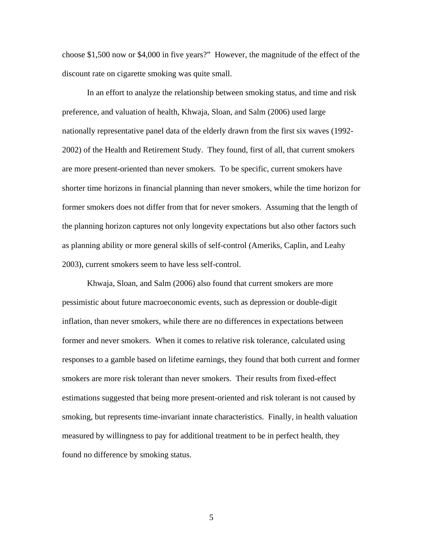choose \$1,500 now or \$4,000 in five years?" However, the magnitude of the effect of the discount rate on cigarette smoking was quite small.

In an effort to analyze the relationship between smoking status, and time and risk preference, and valuation of health, Khwaja, Sloan, and Salm (2006) used large nationally representative panel data of the elderly drawn from the first six waves (1992- 2002) of the Health and Retirement Study. They found, first of all, that current smokers are more present-oriented than never smokers. To be specific, current smokers have shorter time horizons in financial planning than never smokers, while the time horizon for former smokers does not differ from that for never smokers. Assuming that the length of the planning horizon captures not only longevity expectations but also other factors such as planning ability or more general skills of self-control (Ameriks, Caplin, and Leahy 2003), current smokers seem to have less self-control.

Khwaja, Sloan, and Salm (2006) also found that current smokers are more pessimistic about future macroeconomic events, such as depression or double-digit inflation, than never smokers, while there are no differences in expectations between former and never smokers. When it comes to relative risk tolerance, calculated using responses to a gamble based on lifetime earnings, they found that both current and former smokers are more risk tolerant than never smokers. Their results from fixed-effect estimations suggested that being more present-oriented and risk tolerant is not caused by smoking, but represents time-invariant innate characteristics. Finally, in health valuation measured by willingness to pay for additional treatment to be in perfect health, they found no difference by smoking status.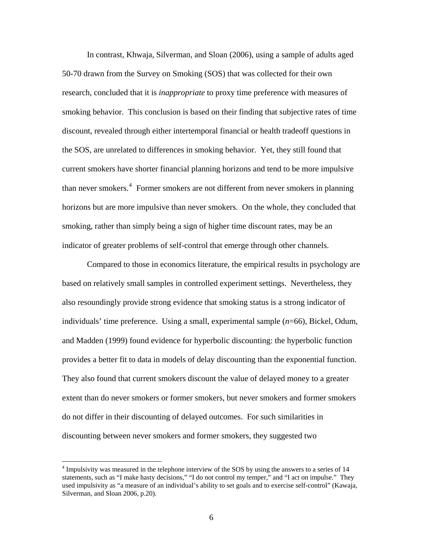<span id="page-5-0"></span>In contrast, Khwaja, Silverman, and Sloan (2006), using a sample of adults aged 50-70 drawn from the Survey on Smoking (SOS) that was collected for their own research, concluded that it is *inappropriate* to proxy time preference with measures of smoking behavior. This conclusion is based on their finding that subjective rates of time discount, revealed through either intertemporal financial or health tradeoff questions in the SOS, are unrelated to differences in smoking behavior. Yet, they still found that current smokers have shorter financial planning horizons and tend to be more impulsive than never smokers.<sup>[4](#page-5-0)</sup> Former smokers are not different from never smokers in planning horizons but are more impulsive than never smokers. On the whole, they concluded that smoking, rather than simply being a sign of higher time discount rates, may be an indicator of greater problems of self-control that emerge through other channels.

 Compared to those in economics literature, the empirical results in psychology are based on relatively small samples in controlled experiment settings. Nevertheless, they also resoundingly provide strong evidence that smoking status is a strong indicator of individuals' time preference. Using a small, experimental sample (*n*=66), Bickel, Odum, and Madden (1999) found evidence for hyperbolic discounting: the hyperbolic function provides a better fit to data in models of delay discounting than the exponential function. They also found that current smokers discount the value of delayed money to a greater extent than do never smokers or former smokers, but never smokers and former smokers do not differ in their discounting of delayed outcomes. For such similarities in discounting between never smokers and former smokers, they suggested two

<sup>&</sup>lt;sup>4</sup> Impulsivity was measured in the telephone interview of the SOS by using the answers to a series of 14 statements, such as "I make hasty decisions," "I do not control my temper," and "I act on impulse." They used impulsivity as "a measure of an individual's ability to set goals and to exercise self-control" (Kawaja, Silverman, and Sloan 2006, p.20).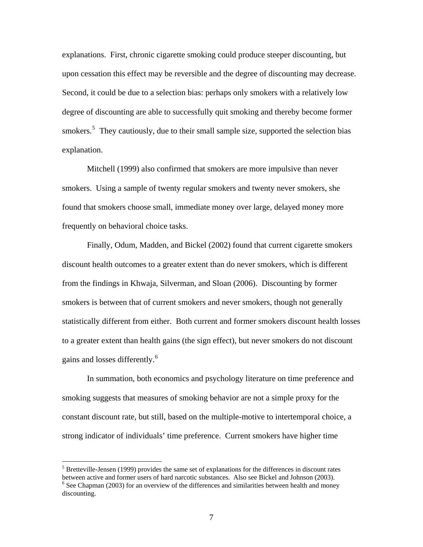<span id="page-6-0"></span>explanations. First, chronic cigarette smoking could produce steeper discounting, but upon cessation this effect may be reversible and the degree of discounting may decrease. Second, it could be due to a selection bias: perhaps only smokers with a relatively low degree of discounting are able to successfully quit smoking and thereby become former smokers.<sup>[5](#page-6-0)</sup> They cautiously, due to their small sample size, supported the selection bias explanation.

Mitchell (1999) also confirmed that smokers are more impulsive than never smokers. Using a sample of twenty regular smokers and twenty never smokers, she found that smokers choose small, immediate money over large, delayed money more frequently on behavioral choice tasks.

Finally, Odum, Madden, and Bickel (2002) found that current cigarette smokers discount health outcomes to a greater extent than do never smokers, which is different from the findings in Khwaja, Silverman, and Sloan (2006). Discounting by former smokers is between that of current smokers and never smokers, though not generally statistically different from either. Both current and former smokers discount health losses to a greater extent than health gains (the sign effect), but never smokers do not discount gains and losses differently.<sup>[6](#page-6-0)</sup>

 In summation, both economics and psychology literature on time preference and smoking suggests that measures of smoking behavior are not a simple proxy for the constant discount rate, but still, based on the multiple-motive to intertemporal choice, a strong indicator of individuals' time preference. Current smokers have higher time

 $<sup>5</sup>$  Bretteville-Jensen (1999) provides the same set of explanations for the differences in discount rates</sup> between active and former users of hard narcotic substances. Also see Bickel and Johnson (2003).  $6$  See Chapman (2003) for an overview of the differences and similarities between health and money discounting.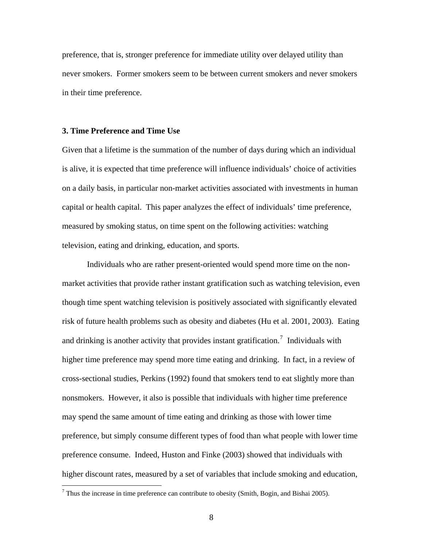<span id="page-7-0"></span>preference, that is, stronger preference for immediate utility over delayed utility than never smokers. Former smokers seem to be between current smokers and never smokers in their time preference.

#### **3. Time Preference and Time Use**

 $\overline{a}$ 

Given that a lifetime is the summation of the number of days during which an individual is alive, it is expected that time preference will influence individuals' choice of activities on a daily basis, in particular non-market activities associated with investments in human capital or health capital. This paper analyzes the effect of individuals' time preference, measured by smoking status, on time spent on the following activities: watching television, eating and drinking, education, and sports.

Individuals who are rather present-oriented would spend more time on the nonmarket activities that provide rather instant gratification such as watching television, even though time spent watching television is positively associated with significantly elevated risk of future health problems such as obesity and diabetes (Hu et al. 2001, 2003). Eating and drinking is another activity that provides instant gratification.<sup>[7](#page-7-0)</sup> Individuals with higher time preference may spend more time eating and drinking. In fact, in a review of cross-sectional studies, Perkins (1992) found that smokers tend to eat slightly more than nonsmokers. However, it also is possible that individuals with higher time preference may spend the same amount of time eating and drinking as those with lower time preference, but simply consume different types of food than what people with lower time preference consume. Indeed, Huston and Finke (2003) showed that individuals with higher discount rates, measured by a set of variables that include smoking and education,

<sup>&</sup>lt;sup>7</sup> Thus the increase in time preference can contribute to obesity (Smith, Bogin, and Bishai 2005).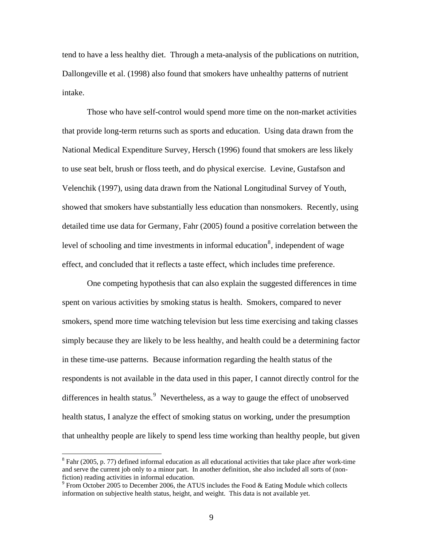<span id="page-8-0"></span>tend to have a less healthy diet. Through a meta-analysis of the publications on nutrition, Dallongeville et al. (1998) also found that smokers have unhealthy patterns of nutrient intake.

Those who have self-control would spend more time on the non-market activities that provide long-term returns such as sports and education. Using data drawn from the National Medical Expenditure Survey, Hersch (1996) found that smokers are less likely to use seat belt, brush or floss teeth, and do physical exercise. Levine, Gustafson and Velenchik (1997), using data drawn from the National Longitudinal Survey of Youth, showed that smokers have substantially less education than nonsmokers. Recently, using detailed time use data for Germany, Fahr (2005) found a positive correlation between the level of schooling and time investments in informal education<sup>[8](#page-8-0)</sup>, independent of wage effect, and concluded that it reflects a taste effect, which includes time preference.

 One competing hypothesis that can also explain the suggested differences in time spent on various activities by smoking status is health. Smokers, compared to never smokers, spend more time watching television but less time exercising and taking classes simply because they are likely to be less healthy, and health could be a determining factor in these time-use patterns. Because information regarding the health status of the respondents is not available in the data used in this paper, I cannot directly control for the differences in health status. $9$  Nevertheless, as a way to gauge the effect of unobserved health status, I analyze the effect of smoking status on working, under the presumption that unhealthy people are likely to spend less time working than healthy people, but given

 $8$  Fahr (2005, p. 77) defined informal education as all educational activities that take place after work-time and serve the current job only to a minor part. In another definition, she also included all sorts of (nonfiction) reading activities in informal education.

 $9$  From October 2005 to December 2006, the ATUS includes the Food & Eating Module which collects information on subjective health status, height, and weight. This data is not available yet.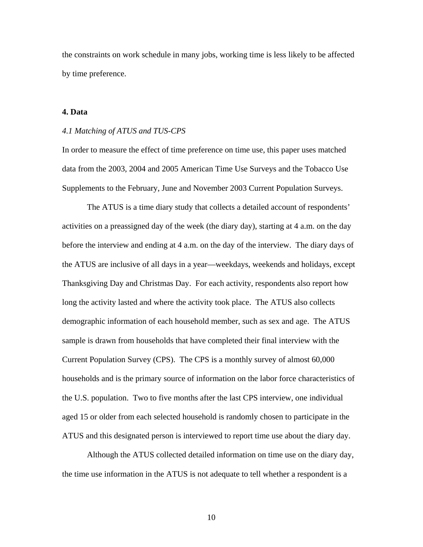the constraints on work schedule in many jobs, working time is less likely to be affected by time preference.

### **4. Data**

#### *4.1 Matching of ATUS and TUS-CPS*

In order to measure the effect of time preference on time use, this paper uses matched data from the 2003, 2004 and 2005 American Time Use Surveys and the Tobacco Use Supplements to the February, June and November 2003 Current Population Surveys.

The ATUS is a time diary study that collects a detailed account of respondents' activities on a preassigned day of the week (the diary day), starting at 4 a.m. on the day before the interview and ending at 4 a.m. on the day of the interview. The diary days of the ATUS are inclusive of all days in a year—weekdays, weekends and holidays, except Thanksgiving Day and Christmas Day. For each activity, respondents also report how long the activity lasted and where the activity took place. The ATUS also collects demographic information of each household member, such as sex and age. The ATUS sample is drawn from households that have completed their final interview with the Current Population Survey (CPS). The CPS is a monthly survey of almost 60,000 households and is the primary source of information on the labor force characteristics of the U.S. population. Two to five months after the last CPS interview, one individual aged 15 or older from each selected household is randomly chosen to participate in the ATUS and this designated person is interviewed to report time use about the diary day.

Although the ATUS collected detailed information on time use on the diary day, the time use information in the ATUS is not adequate to tell whether a respondent is a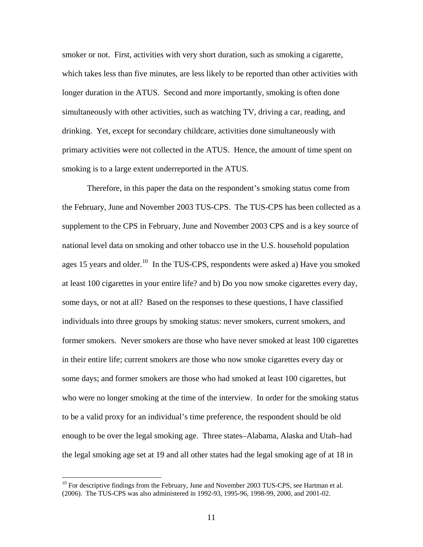<span id="page-10-0"></span>smoker or not. First, activities with very short duration, such as smoking a cigarette, which takes less than five minutes, are less likely to be reported than other activities with longer duration in the ATUS. Second and more importantly, smoking is often done simultaneously with other activities, such as watching TV, driving a car, reading, and drinking. Yet, except for secondary childcare, activities done simultaneously with primary activities were not collected in the ATUS. Hence, the amount of time spent on smoking is to a large extent underreported in the ATUS.

Therefore, in this paper the data on the respondent's smoking status come from the February, June and November 2003 TUS-CPS. The TUS-CPS has been collected as a supplement to the CPS in February, June and November 2003 CPS and is a key source of national level data on smoking and other tobacco use in the U.S. household population ages 15 years and older.<sup>[10](#page-10-0)</sup> In the TUS-CPS, respondents were asked a) Have you smoked at least 100 cigarettes in your entire life? and b) Do you now smoke cigarettes every day, some days, or not at all? Based on the responses to these questions, I have classified individuals into three groups by smoking status: never smokers, current smokers, and former smokers. Never smokers are those who have never smoked at least 100 cigarettes in their entire life; current smokers are those who now smoke cigarettes every day or some days; and former smokers are those who had smoked at least 100 cigarettes, but who were no longer smoking at the time of the interview. In order for the smoking status to be a valid proxy for an individual's time preference, the respondent should be old enough to be over the legal smoking age. Three states–Alabama, Alaska and Utah–had the legal smoking age set at 19 and all other states had the legal smoking age of at 18 in

 $10$  For descriptive findings from the February, June and November 2003 TUS-CPS, see Hartman et al. (2006). The TUS-CPS was also administered in 1992-93, 1995-96, 1998-99, 2000, and 2001-02.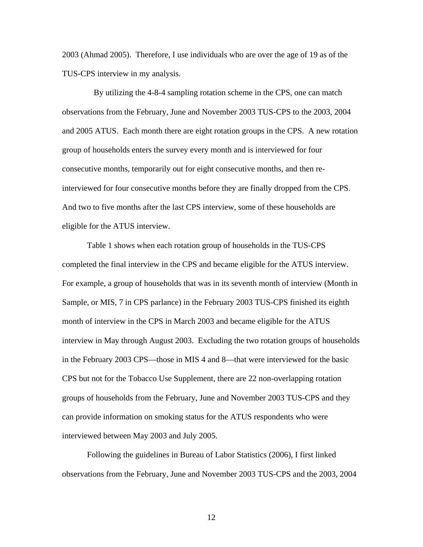2003 (Ahmad 2005). Therefore, I use individuals who are over the age of 19 as of the TUS-CPS interview in my analysis.

 By utilizing the 4-8-4 sampling rotation scheme in the CPS, one can match observations from the February, June and November 2003 TUS-CPS to the 2003, 2004 and 2005 ATUS. Each month there are eight rotation groups in the CPS. A new rotation group of households enters the survey every month and is interviewed for four consecutive months, temporarily out for eight consecutive months, and then reinterviewed for four consecutive months before they are finally dropped from the CPS. And two to five months after the last CPS interview, some of these households are eligible for the ATUS interview.

Table 1 shows when each rotation group of households in the TUS-CPS completed the final interview in the CPS and became eligible for the ATUS interview. For example, a group of households that was in its seventh month of interview (Month in Sample, or MIS, 7 in CPS parlance) in the February 2003 TUS-CPS finished its eighth month of interview in the CPS in March 2003 and became eligible for the ATUS interview in May through August 2003. Excluding the two rotation groups of households in the February 2003 CPS—those in MIS 4 and 8—that were interviewed for the basic CPS but not for the Tobacco Use Supplement, there are 22 non-overlapping rotation groups of households from the February, June and November 2003 TUS-CPS and they can provide information on smoking status for the ATUS respondents who were interviewed between May 2003 and July 2005.

Following the guidelines in Bureau of Labor Statistics (2006), I first linked observations from the February, June and November 2003 TUS-CPS and the 2003, 2004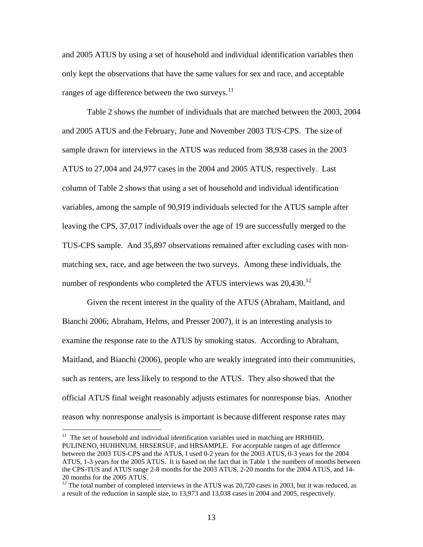<span id="page-12-0"></span>and 2005 ATUS by using a set of household and individual identification variables then only kept the observations that have the same values for sex and race, and acceptable ranges of age difference between the two surveys.<sup>[11](#page-12-0)</sup>

Table 2 shows the number of individuals that are matched between the 2003, 2004 and 2005 ATUS and the February, June and November 2003 TUS-CPS. The size of sample drawn for interviews in the ATUS was reduced from 38,938 cases in the 2003 ATUS to 27,004 and 24,977 cases in the 2004 and 2005 ATUS, respectively. Last column of Table 2 shows that using a set of household and individual identification variables, among the sample of 90,919 individuals selected for the ATUS sample after leaving the CPS, 37,017 individuals over the age of 19 are successfully merged to the TUS-CPS sample. And 35,897 observations remained after excluding cases with nonmatching sex, race, and age between the two surveys. Among these individuals, the number of respondents who completed the ATUS interviews was  $20,430$ .<sup>[12](#page-12-0)</sup>

Given the recent interest in the quality of the ATUS (Abraham, Maitland, and Bianchi 2006; Abraham, Helms, and Presser 2007), it is an interesting analysis to examine the response rate to the ATUS by smoking status. According to Abraham, Maitland, and Bianchi (2006), people who are weakly integrated into their communities, such as renters, are less likely to respond to the ATUS. They also showed that the official ATUS final weight reasonably adjusts estimates for nonresponse bias. Another reason why nonresponse analysis is important is because different response rates may

 $11$  The set of household and individual identification variables used in matching are HRHHID, PULINENO, HUHHNUM, HRSERSUF, and HRSAMPLE. For acceptable ranges of age difference between the 2003 TUS-CPS and the ATUS, I used 0-2 years for the 2003 ATUS, 0-3 years for the 2004 ATUS, 1-3 years for the 2005 ATUS. It is based on the fact that in Table 1 the numbers of months between the CPS-TUS and ATUS range 2-8 months for the 2003 ATUS, 2-20 months for the 2004 ATUS, and 14- 20 months for the 2005 ATUS.

 $12$ <sup>12</sup> The total number of completed interviews in the ATUS was 20,720 cases in 2003, but it was reduced, as a result of the reduction in sample size, to 13,973 and 13,038 cases in 2004 and 2005, respectively.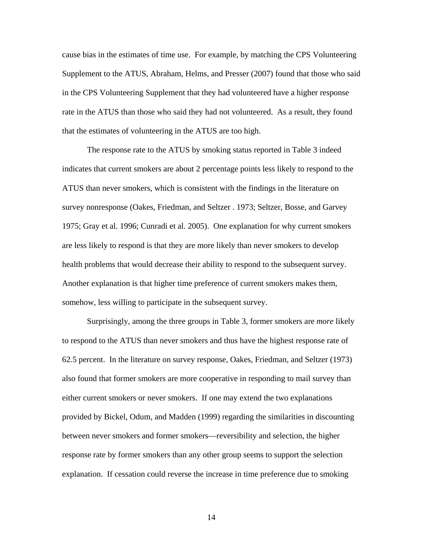cause bias in the estimates of time use. For example, by matching the CPS Volunteering Supplement to the ATUS, Abraham, Helms, and Presser (2007) found that those who said in the CPS Volunteering Supplement that they had volunteered have a higher response rate in the ATUS than those who said they had not volunteered. As a result, they found that the estimates of volunteering in the ATUS are too high.

The response rate to the ATUS by smoking status reported in Table 3 indeed indicates that current smokers are about 2 percentage points less likely to respond to the ATUS than never smokers, which is consistent with the findings in the literature on survey nonresponse (Oakes, Friedman, and Seltzer . 1973; Seltzer, Bosse, and Garvey 1975; Gray et al. 1996; Cunradi et al. 2005). One explanation for why current smokers are less likely to respond is that they are more likely than never smokers to develop health problems that would decrease their ability to respond to the subsequent survey. Another explanation is that higher time preference of current smokers makes them, somehow, less willing to participate in the subsequent survey.

Surprisingly, among the three groups in Table 3, former smokers are *more* likely to respond to the ATUS than never smokers and thus have the highest response rate of 62.5 percent. In the literature on survey response, Oakes, Friedman, and Seltzer (1973) also found that former smokers are more cooperative in responding to mail survey than either current smokers or never smokers. If one may extend the two explanations provided by Bickel, Odum, and Madden (1999) regarding the similarities in discounting between never smokers and former smokers—reversibility and selection, the higher response rate by former smokers than any other group seems to support the selection explanation. If cessation could reverse the increase in time preference due to smoking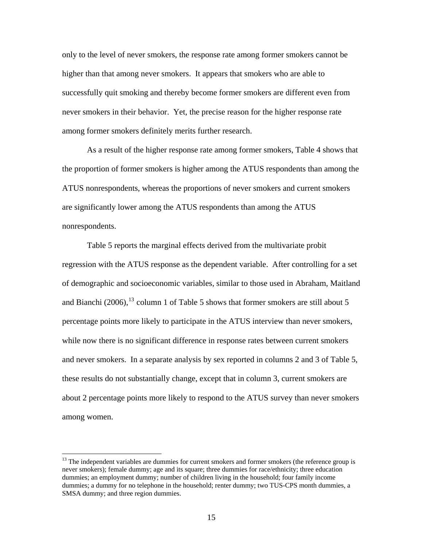<span id="page-14-0"></span>only to the level of never smokers, the response rate among former smokers cannot be higher than that among never smokers. It appears that smokers who are able to successfully quit smoking and thereby become former smokers are different even from never smokers in their behavior. Yet, the precise reason for the higher response rate among former smokers definitely merits further research.

 As a result of the higher response rate among former smokers, Table 4 shows that the proportion of former smokers is higher among the ATUS respondents than among the ATUS nonrespondents, whereas the proportions of never smokers and current smokers are significantly lower among the ATUS respondents than among the ATUS nonrespondents.

 Table 5 reports the marginal effects derived from the multivariate probit regression with the ATUS response as the dependent variable. After controlling for a set of demographic and socioeconomic variables, similar to those used in Abraham, Maitland and Bianchi (2006),  $^{13}$  $^{13}$  $^{13}$  column 1 of Table 5 shows that former smokers are still about 5 percentage points more likely to participate in the ATUS interview than never smokers, while now there is no significant difference in response rates between current smokers and never smokers. In a separate analysis by sex reported in columns 2 and 3 of Table 5, these results do not substantially change, except that in column 3, current smokers are about 2 percentage points more likely to respond to the ATUS survey than never smokers among women.

<sup>&</sup>lt;sup>13</sup> The independent variables are dummies for current smokers and former smokers (the reference group is never smokers); female dummy; age and its square; three dummies for race/ethnicity; three education dummies; an employment dummy; number of children living in the household; four family income dummies; a dummy for no telephone in the household; renter dummy; two TUS-CPS month dummies, a SMSA dummy; and three region dummies.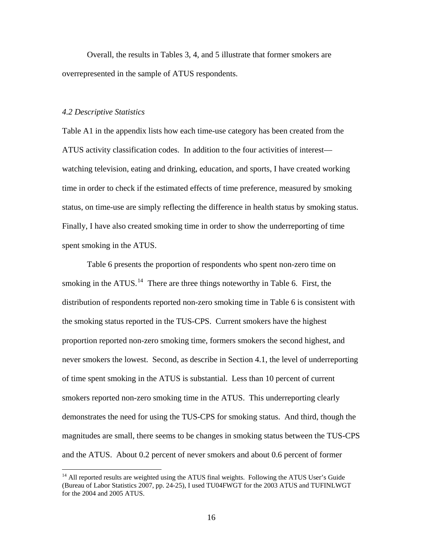<span id="page-15-0"></span> Overall, the results in Tables 3, 4, and 5 illustrate that former smokers are overrepresented in the sample of ATUS respondents.

#### *4.2 Descriptive Statistics*

 $\overline{a}$ 

Table A1 in the appendix lists how each time-use category has been created from the ATUS activity classification codes. In addition to the four activities of interest watching television, eating and drinking, education, and sports, I have created working time in order to check if the estimated effects of time preference, measured by smoking status, on time-use are simply reflecting the difference in health status by smoking status. Finally, I have also created smoking time in order to show the underreporting of time spent smoking in the ATUS.

Table 6 presents the proportion of respondents who spent non-zero time on smoking in the ATUS.<sup>[14](#page-15-0)</sup> There are three things noteworthy in Table 6. First, the distribution of respondents reported non-zero smoking time in Table 6 is consistent with the smoking status reported in the TUS-CPS. Current smokers have the highest proportion reported non-zero smoking time, formers smokers the second highest, and never smokers the lowest. Second, as describe in Section 4.1, the level of underreporting of time spent smoking in the ATUS is substantial. Less than 10 percent of current smokers reported non-zero smoking time in the ATUS. This underreporting clearly demonstrates the need for using the TUS-CPS for smoking status. And third, though the magnitudes are small, there seems to be changes in smoking status between the TUS-CPS and the ATUS. About 0.2 percent of never smokers and about 0.6 percent of former

<sup>&</sup>lt;sup>14</sup> All reported results are weighted using the ATUS final weights. Following the ATUS User's Guide (Bureau of Labor Statistics 2007, pp. 24-25), I used TU04FWGT for the 2003 ATUS and TUFINLWGT for the 2004 and 2005 ATUS.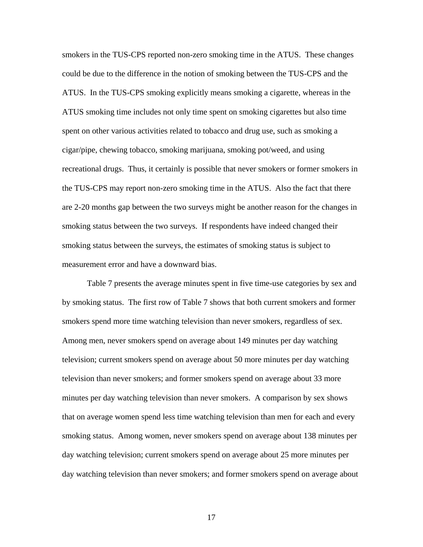smokers in the TUS-CPS reported non-zero smoking time in the ATUS. These changes could be due to the difference in the notion of smoking between the TUS-CPS and the ATUS. In the TUS-CPS smoking explicitly means smoking a cigarette, whereas in the ATUS smoking time includes not only time spent on smoking cigarettes but also time spent on other various activities related to tobacco and drug use, such as smoking a cigar/pipe, chewing tobacco, smoking marijuana, smoking pot/weed, and using recreational drugs. Thus, it certainly is possible that never smokers or former smokers in the TUS-CPS may report non-zero smoking time in the ATUS. Also the fact that there are 2-20 months gap between the two surveys might be another reason for the changes in smoking status between the two surveys. If respondents have indeed changed their smoking status between the surveys, the estimates of smoking status is subject to measurement error and have a downward bias.

 Table 7 presents the average minutes spent in five time-use categories by sex and by smoking status. The first row of Table 7 shows that both current smokers and former smokers spend more time watching television than never smokers, regardless of sex. Among men, never smokers spend on average about 149 minutes per day watching television; current smokers spend on average about 50 more minutes per day watching television than never smokers; and former smokers spend on average about 33 more minutes per day watching television than never smokers. A comparison by sex shows that on average women spend less time watching television than men for each and every smoking status. Among women, never smokers spend on average about 138 minutes per day watching television; current smokers spend on average about 25 more minutes per day watching television than never smokers; and former smokers spend on average about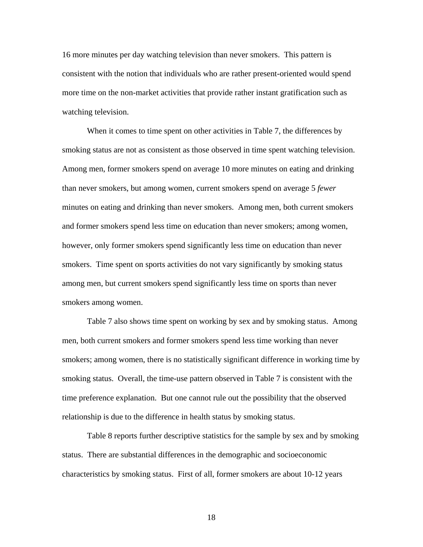16 more minutes per day watching television than never smokers. This pattern is consistent with the notion that individuals who are rather present-oriented would spend more time on the non-market activities that provide rather instant gratification such as watching television.

 When it comes to time spent on other activities in Table 7, the differences by smoking status are not as consistent as those observed in time spent watching television. Among men, former smokers spend on average 10 more minutes on eating and drinking than never smokers, but among women, current smokers spend on average 5 *fewer* minutes on eating and drinking than never smokers. Among men, both current smokers and former smokers spend less time on education than never smokers; among women, however, only former smokers spend significantly less time on education than never smokers. Time spent on sports activities do not vary significantly by smoking status among men, but current smokers spend significantly less time on sports than never smokers among women.

 Table 7 also shows time spent on working by sex and by smoking status. Among men, both current smokers and former smokers spend less time working than never smokers; among women, there is no statistically significant difference in working time by smoking status. Overall, the time-use pattern observed in Table 7 is consistent with the time preference explanation. But one cannot rule out the possibility that the observed relationship is due to the difference in health status by smoking status.

 Table 8 reports further descriptive statistics for the sample by sex and by smoking status. There are substantial differences in the demographic and socioeconomic characteristics by smoking status. First of all, former smokers are about 10-12 years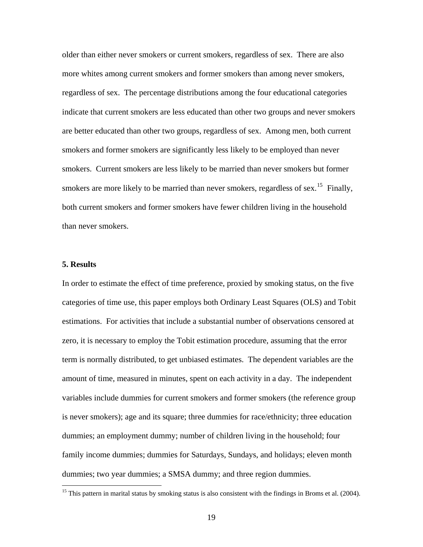<span id="page-18-0"></span>older than either never smokers or current smokers, regardless of sex. There are also more whites among current smokers and former smokers than among never smokers, regardless of sex. The percentage distributions among the four educational categories indicate that current smokers are less educated than other two groups and never smokers are better educated than other two groups, regardless of sex. Among men, both current smokers and former smokers are significantly less likely to be employed than never smokers. Current smokers are less likely to be married than never smokers but former smokers are more likely to be married than never smokers, regardless of sex.<sup>[15](#page-18-0)</sup> Finally, both current smokers and former smokers have fewer children living in the household than never smokers.

### **5. Results**

 $\overline{a}$ 

In order to estimate the effect of time preference, proxied by smoking status, on the five categories of time use, this paper employs both Ordinary Least Squares (OLS) and Tobit estimations. For activities that include a substantial number of observations censored at zero, it is necessary to employ the Tobit estimation procedure, assuming that the error term is normally distributed, to get unbiased estimates. The dependent variables are the amount of time, measured in minutes, spent on each activity in a day. The independent variables include dummies for current smokers and former smokers (the reference group is never smokers); age and its square; three dummies for race/ethnicity; three education dummies; an employment dummy; number of children living in the household; four family income dummies; dummies for Saturdays, Sundays, and holidays; eleven month dummies; two year dummies; a SMSA dummy; and three region dummies.

<sup>&</sup>lt;sup>15</sup> This pattern in marital status by smoking status is also consistent with the findings in Broms et al. (2004).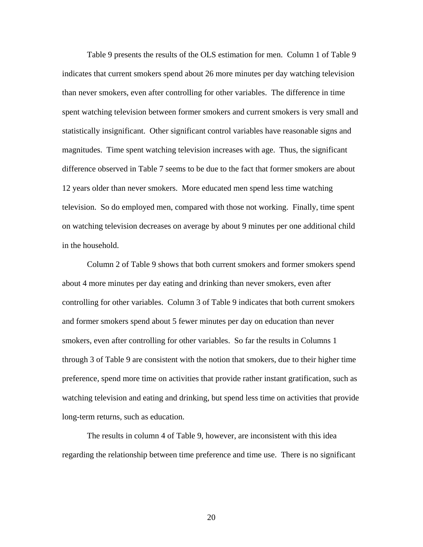Table 9 presents the results of the OLS estimation for men. Column 1 of Table 9 indicates that current smokers spend about 26 more minutes per day watching television than never smokers, even after controlling for other variables. The difference in time spent watching television between former smokers and current smokers is very small and statistically insignificant. Other significant control variables have reasonable signs and magnitudes. Time spent watching television increases with age. Thus, the significant difference observed in Table 7 seems to be due to the fact that former smokers are about 12 years older than never smokers. More educated men spend less time watching television. So do employed men, compared with those not working. Finally, time spent on watching television decreases on average by about 9 minutes per one additional child in the household.

Column 2 of Table 9 shows that both current smokers and former smokers spend about 4 more minutes per day eating and drinking than never smokers, even after controlling for other variables. Column 3 of Table 9 indicates that both current smokers and former smokers spend about 5 fewer minutes per day on education than never smokers, even after controlling for other variables. So far the results in Columns 1 through 3 of Table 9 are consistent with the notion that smokers, due to their higher time preference, spend more time on activities that provide rather instant gratification, such as watching television and eating and drinking, but spend less time on activities that provide long-term returns, such as education.

 The results in column 4 of Table 9, however, are inconsistent with this idea regarding the relationship between time preference and time use. There is no significant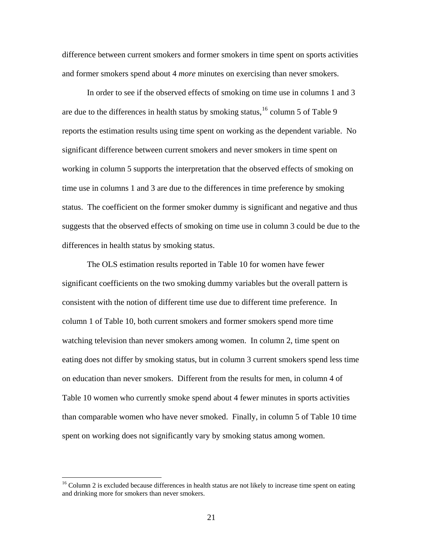<span id="page-20-0"></span>difference between current smokers and former smokers in time spent on sports activities and former smokers spend about 4 *more* minutes on exercising than never smokers.

 In order to see if the observed effects of smoking on time use in columns 1 and 3 are due to the differences in health status by smoking status,  $16$  column 5 of Table 9 reports the estimation results using time spent on working as the dependent variable. No significant difference between current smokers and never smokers in time spent on working in column 5 supports the interpretation that the observed effects of smoking on time use in columns 1 and 3 are due to the differences in time preference by smoking status. The coefficient on the former smoker dummy is significant and negative and thus suggests that the observed effects of smoking on time use in column 3 could be due to the differences in health status by smoking status.

 The OLS estimation results reported in Table 10 for women have fewer significant coefficients on the two smoking dummy variables but the overall pattern is consistent with the notion of different time use due to different time preference. In column 1 of Table 10, both current smokers and former smokers spend more time watching television than never smokers among women. In column 2, time spent on eating does not differ by smoking status, but in column 3 current smokers spend less time on education than never smokers. Different from the results for men, in column 4 of Table 10 women who currently smoke spend about 4 fewer minutes in sports activities than comparable women who have never smoked. Finally, in column 5 of Table 10 time spent on working does not significantly vary by smoking status among women.

<sup>&</sup>lt;sup>16</sup> Column 2 is excluded because differences in health status are not likely to increase time spent on eating and drinking more for smokers than never smokers.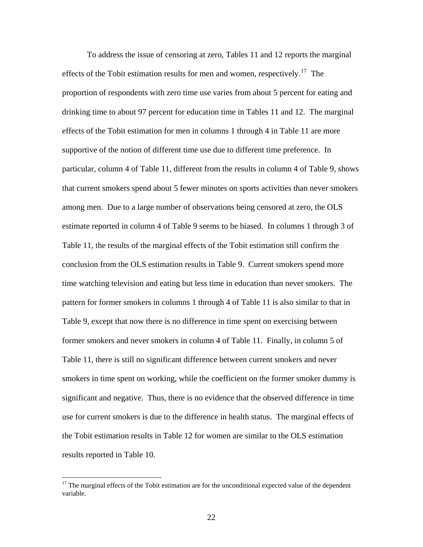<span id="page-21-0"></span> To address the issue of censoring at zero, Tables 11 and 12 reports the marginal effects of the Tobit estimation results for men and women, respectively.<sup>[17](#page-21-0)</sup> The proportion of respondents with zero time use varies from about 5 percent for eating and drinking time to about 97 percent for education time in Tables 11 and 12. The marginal effects of the Tobit estimation for men in columns 1 through 4 in Table 11 are more supportive of the notion of different time use due to different time preference. In particular, column 4 of Table 11, different from the results in column 4 of Table 9, shows that current smokers spend about 5 fewer minutes on sports activities than never smokers among men. Due to a large number of observations being censored at zero, the OLS estimate reported in column 4 of Table 9 seems to be biased. In columns 1 through 3 of Table 11, the results of the marginal effects of the Tobit estimation still confirm the conclusion from the OLS estimation results in Table 9. Current smokers spend more time watching television and eating but less time in education than never smokers. The pattern for former smokers in columns 1 through 4 of Table 11 is also similar to that in Table 9, except that now there is no difference in time spent on exercising between former smokers and never smokers in column 4 of Table 11. Finally, in column 5 of Table 11, there is still no significant difference between current smokers and never smokers in time spent on working, while the coefficient on the former smoker dummy is significant and negative. Thus, there is no evidence that the observed difference in time use for current smokers is due to the difference in health status. The marginal effects of the Tobit estimation results in Table 12 for women are similar to the OLS estimation results reported in Table 10.

 $17$  The marginal effects of the Tobit estimation are for the unconditional expected value of the dependent variable.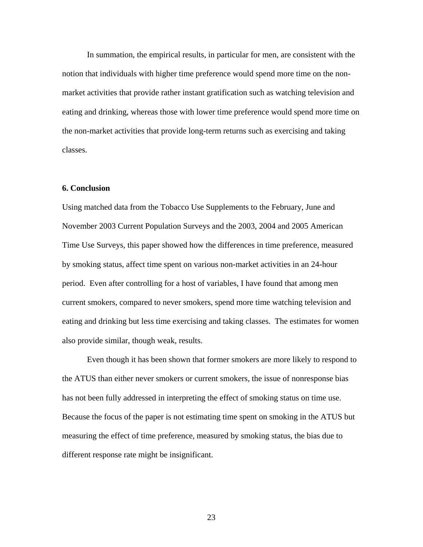In summation, the empirical results, in particular for men, are consistent with the notion that individuals with higher time preference would spend more time on the nonmarket activities that provide rather instant gratification such as watching television and eating and drinking, whereas those with lower time preference would spend more time on the non-market activities that provide long-term returns such as exercising and taking classes.

### **6. Conclusion**

Using matched data from the Tobacco Use Supplements to the February, June and November 2003 Current Population Surveys and the 2003, 2004 and 2005 American Time Use Surveys, this paper showed how the differences in time preference, measured by smoking status, affect time spent on various non-market activities in an 24-hour period. Even after controlling for a host of variables, I have found that among men current smokers, compared to never smokers, spend more time watching television and eating and drinking but less time exercising and taking classes. The estimates for women also provide similar, though weak, results.

Even though it has been shown that former smokers are more likely to respond to the ATUS than either never smokers or current smokers, the issue of nonresponse bias has not been fully addressed in interpreting the effect of smoking status on time use. Because the focus of the paper is not estimating time spent on smoking in the ATUS but measuring the effect of time preference, measured by smoking status, the bias due to different response rate might be insignificant.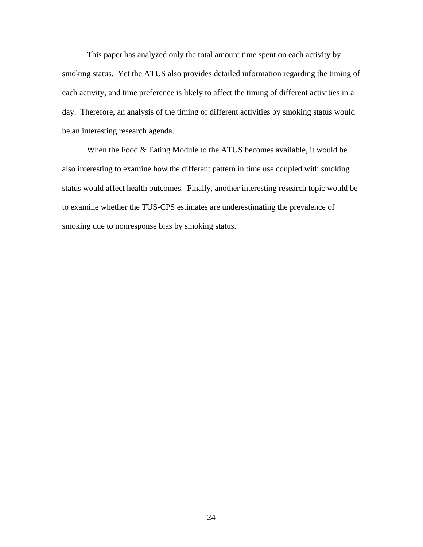This paper has analyzed only the total amount time spent on each activity by smoking status. Yet the ATUS also provides detailed information regarding the timing of each activity, and time preference is likely to affect the timing of different activities in a day. Therefore, an analysis of the timing of different activities by smoking status would be an interesting research agenda.

When the Food & Eating Module to the ATUS becomes available, it would be also interesting to examine how the different pattern in time use coupled with smoking status would affect health outcomes. Finally, another interesting research topic would be to examine whether the TUS-CPS estimates are underestimating the prevalence of smoking due to nonresponse bias by smoking status.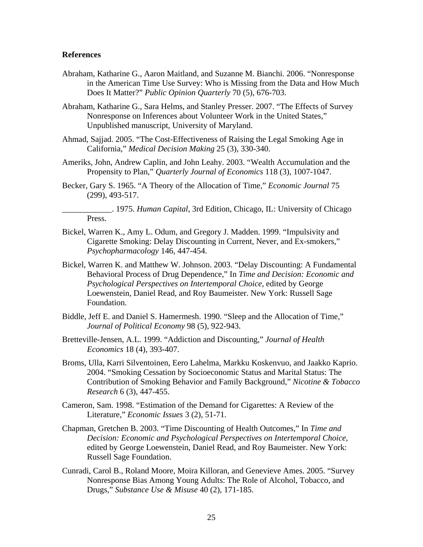#### **References**

- Abraham, Katharine G., Aaron Maitland, and Suzanne M. Bianchi. 2006. "Nonresponse in the American Time Use Survey: Who is Missing from the Data and How Much Does It Matter?" *Public Opinion Quarterly* 70 (5), 676-703.
- Abraham, Katharine G., Sara Helms, and Stanley Presser. 2007. "The Effects of Survey Nonresponse on Inferences about Volunteer Work in the United States," Unpublished manuscript, University of Maryland.
- Ahmad, Sajjad. 2005. "The Cost-Effectiveness of Raising the Legal Smoking Age in California," *Medical Decision Making* 25 (3), 330-340.
- Ameriks, John, Andrew Caplin, and John Leahy. 2003. "Wealth Accumulation and the Propensity to Plan," *Quarterly Journal of Economics* 118 (3), 1007-1047.
- Becker, Gary S. 1965. "A Theory of the Allocation of Time," *Economic Journal* 75 (299), 493-517.

\_\_\_\_\_\_\_\_\_\_\_\_. 1975. *Human Capital*, 3rd Edition, Chicago, IL: University of Chicago Press.

- Bickel, Warren K., Amy L. Odum, and Gregory J. Madden. 1999. "Impulsivity and Cigarette Smoking: Delay Discounting in Current, Never, and Ex-smokers," *Psychopharmacology* 146, 447-454.
- Bickel, Warren K. and Matthew W. Johnson. 2003. "Delay Discounting: A Fundamental Behavioral Process of Drug Dependence," In *Time and Decision: Economic and Psychological Perspectives on Intertemporal Choice*, edited by George Loewenstein, Daniel Read, and Roy Baumeister. New York: Russell Sage Foundation.
- Biddle, Jeff E. and Daniel S. Hamermesh. 1990. "Sleep and the Allocation of Time," *Journal of Political Economy* 98 (5), 922-943.
- Bretteville-Jensen, A.L. 1999. "Addiction and Discounting," *Journal of Health Economics* 18 (4), 393-407.
- Broms, Ulla, Karri Silventoinen, Eero Lahelma, Markku Koskenvuo, and Jaakko Kaprio. 2004. "Smoking Cessation by Socioeconomic Status and Marital Status: The Contribution of Smoking Behavior and Family Background," *Nicotine & Tobacco Research* 6 (3), 447-455.
- Cameron, Sam. 1998. "Estimation of the Demand for Cigarettes: A Review of the Literature," *Economic Issues* 3 (2), 51-71.
- Chapman, Gretchen B. 2003. "Time Discounting of Health Outcomes," In *Time and Decision: Economic and Psychological Perspectives on Intertemporal Choice*, edited by George Loewenstein, Daniel Read, and Roy Baumeister. New York: Russell Sage Foundation.
- Cunradi, Carol B., Roland Moore, Moira Killoran, and Genevieve Ames. 2005. "Survey Nonresponse Bias Among Young Adults: The Role of Alcohol, Tobacco, and Drugs," *Substance Use & Misuse* 40 (2), 171-185.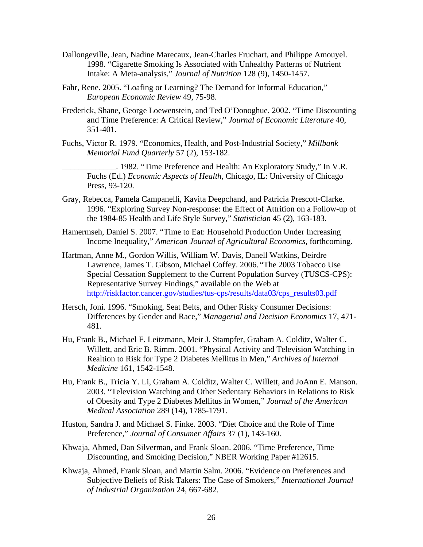- Dallongeville, Jean, Nadine Marecaux, Jean-Charles Fruchart, and Philippe Amouyel. 1998. "Cigarette Smoking Is Associated with Unhealthy Patterns of Nutrient Intake: A Meta-analysis," *Journal of Nutrition* 128 (9), 1450-1457.
- Fahr, Rene. 2005. "Loafing or Learning? The Demand for Informal Education," *European Economic Review* 49, 75-98.
- Frederick, Shane, George Loewenstein, and Ted O'Donoghue. 2002. "Time Discounting and Time Preference: A Critical Review," *Journal of Economic Literature* 40, 351-401.
- Fuchs, Victor R. 1979. "Economics, Health, and Post-Industrial Society," *Millbank Memorial Fund Quarterly* 57 (2), 153-182.

\_\_\_\_\_\_\_\_\_\_\_\_\_. 1982. "Time Preference and Health: An Exploratory Study," In V.R. Fuchs (Ed.) *Economic Aspects of Health*, Chicago, IL: University of Chicago Press, 93-120.

- Gray, Rebecca, Pamela Campanelli, Kavita Deepchand, and Patricia Prescott-Clarke. 1996. "Exploring Survey Non-response: the Effect of Attrition on a Follow-up of the 1984-85 Health and Life Style Survey," *Statistician* 45 (2), 163-183.
- Hamermseh, Daniel S. 2007. "Time to Eat: Household Production Under Increasing Income Inequality," *American Journal of Agricultural Economics*, forthcoming.
- Hartman, Anne M., Gordon Willis, William W. Davis, Danell Watkins, Deirdre Lawrence, James T. Gibson, Michael Coffey. 2006. "The 2003 Tobacco Use Special Cessation Supplement to the Current Population Survey (TUSCS-CPS): Representative Survey Findings," available on the Web at [http://riskfactor.cancer.gov/studies/tus-cps/results/data03/cps\\_results03.pdf](http://riskfactor.cancer.gov/studies/tus-cps/results/data03/cps_results03.pdf)
- Hersch, Joni. 1996. "Smoking, Seat Belts, and Other Risky Consumer Decisions: Differences by Gender and Race," *Managerial and Decision Economics* 17, 471- 481.
- Hu, Frank B., Michael F. Leitzmann, Meir J. Stampfer, Graham A. Colditz, Walter C. Willett, and Eric B. Rimm. 2001. "Physical Activity and Television Watching in Realtion to Risk for Type 2 Diabetes Mellitus in Men," *Archives of Internal Medicine* 161, 1542-1548.
- Hu, Frank B., Tricia Y. Li, Graham A. Colditz, Walter C. Willett, and JoAnn E. Manson. 2003. "Television Watching and Other Sedentary Behaviors in Relations to Risk of Obesity and Type 2 Diabetes Mellitus in Women," *Journal of the American Medical Association* 289 (14), 1785-1791.
- Huston, Sandra J. and Michael S. Finke. 2003. "Diet Choice and the Role of Time Preference," *Journal of Consumer Affairs* 37 (1), 143-160.
- Khwaja, Ahmed, Dan Silverman, and Frank Sloan. 2006. "Time Preference, Time Discounting, and Smoking Decision," NBER Working Paper #12615.
- Khwaja, Ahmed, Frank Sloan, and Martin Salm. 2006. "Evidence on Preferences and Subjective Beliefs of Risk Takers: The Case of Smokers," *International Journal of Industrial Organization* 24, 667-682.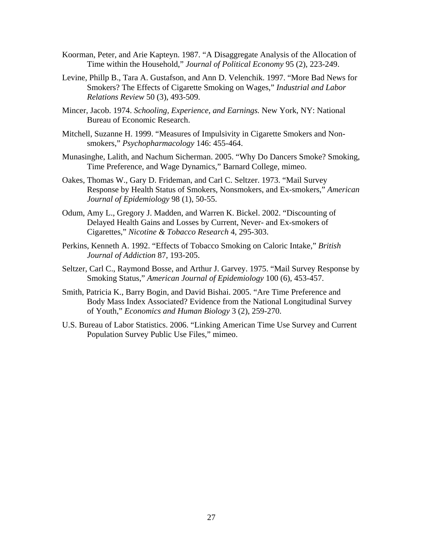- Koorman, Peter, and Arie Kapteyn. 1987. "A Disaggregate Analysis of the Allocation of Time within the Household," *Journal of Political Economy* 95 (2), 223-249.
- Levine, Phillp B., Tara A. Gustafson, and Ann D. Velenchik. 1997. "More Bad News for Smokers? The Effects of Cigarette Smoking on Wages," *Industrial and Labor Relations Review* 50 (3), 493-509.
- Mincer, Jacob. 1974. *Schooling, Experience, and Earnings.* New York, NY: National Bureau of Economic Research.
- Mitchell, Suzanne H. 1999. "Measures of Impulsivity in Cigarette Smokers and Nonsmokers," *Psychopharmacology* 146: 455-464.
- Munasinghe, Lalith, and Nachum Sicherman. 2005. "Why Do Dancers Smoke? Smoking, Time Preference, and Wage Dynamics," Barnard College, mimeo.
- Oakes, Thomas W., Gary D. Frideman, and Carl C. Seltzer. 1973. "Mail Survey Response by Health Status of Smokers, Nonsmokers, and Ex-smokers," *American Journal of Epidemiology* 98 (1), 50-55.
- Odum, Amy L., Gregory J. Madden, and Warren K. Bickel. 2002. "Discounting of Delayed Health Gains and Losses by Current, Never- and Ex-smokers of Cigarettes," *Nicotine & Tobacco Research* 4, 295-303.
- Perkins, Kenneth A. 1992. "Effects of Tobacco Smoking on Caloric Intake," *British Journal of Addiction* 87, 193-205.
- Seltzer, Carl C., Raymond Bosse, and Arthur J. Garvey. 1975. "Mail Survey Response by Smoking Status," *American Journal of Epidemiology* 100 (6), 453-457.
- Smith, Patricia K., Barry Bogin, and David Bishai. 2005. "Are Time Preference and Body Mass Index Associated? Evidence from the National Longitudinal Survey of Youth," *Economics and Human Biology* 3 (2), 259-270.
- U.S. Bureau of Labor Statistics. 2006. "Linking American Time Use Survey and Current Population Survey Public Use Files," mimeo.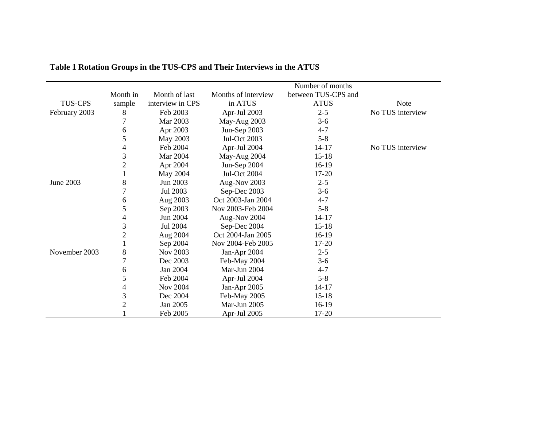|                |                |                  |                     | Number of months    |                  |
|----------------|----------------|------------------|---------------------|---------------------|------------------|
|                | Month in       | Month of last    | Months of interview | between TUS-CPS and |                  |
| <b>TUS-CPS</b> | sample         | interview in CPS | in ATUS             | <b>ATUS</b>         | <b>Note</b>      |
| February 2003  | 8              | Feb 2003         | Apr-Jul 2003        | $2 - 5$             | No TUS interview |
|                | 7              | Mar 2003         | May-Aug 2003        | $3-6$               |                  |
|                | 6              | Apr 2003         | Jun-Sep 2003        | $4 - 7$             |                  |
|                | 5              | May 2003         | <b>Jul-Oct 2003</b> | $5 - 8$             |                  |
|                | 4              | Feb 2004         | Apr-Jul 2004        | $14 - 17$           | No TUS interview |
|                | 3              | Mar 2004         | May-Aug 2004        | $15-18$             |                  |
|                | $\overline{c}$ | Apr 2004         | Jun-Sep 2004        | $16-19$             |                  |
|                | 1              | May 2004         | <b>Jul-Oct 2004</b> | 17-20               |                  |
| June 2003      | 8              | Jun 2003         | Aug-Nov 2003        | $2 - 5$             |                  |
|                | 7              | Jul 2003         | Sep-Dec 2003        | $3-6$               |                  |
|                | 6              | Aug 2003         | Oct 2003-Jan 2004   | $4 - 7$             |                  |
|                | 5              | Sep 2003         | Nov 2003-Feb 2004   | $5 - 8$             |                  |
|                | 4              | Jun 2004         | Aug-Nov 2004        | $14 - 17$           |                  |
|                | 3              | Jul 2004         | Sep-Dec 2004        | $15 - 18$           |                  |
|                | $\overline{c}$ | Aug 2004         | Oct 2004-Jan 2005   | $16-19$             |                  |
|                |                | Sep 2004         | Nov 2004-Feb 2005   | $17 - 20$           |                  |
| November 2003  | 8              | Nov 2003         | Jan-Apr 2004        | $2 - 5$             |                  |
|                | $\overline{7}$ | Dec 2003         | Feb-May 2004        | $3-6$               |                  |
|                | 6              | Jan 2004         | Mar-Jun 2004        | $4 - 7$             |                  |
|                | 5              | Feb 2004         | Apr-Jul 2004        | $5 - 8$             |                  |
|                | 4              | Nov 2004         | Jan-Apr 2005        | $14 - 17$           |                  |
|                | 3              | Dec 2004         | Feb-May 2005        | $15 - 18$           |                  |
|                | $\overline{c}$ | Jan 2005         | Mar-Jun 2005        | $16-19$             |                  |
|                |                | Feb 2005         | Apr-Jul 2005        | 17-20               |                  |

**Table 1 Rotation Groups in the TUS-CPS and Their Interviews in the ATUS**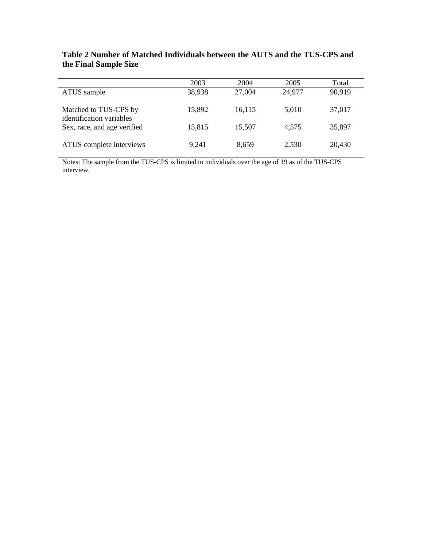|                                                   | 2003   | 2004   | 2005   | Total  |
|---------------------------------------------------|--------|--------|--------|--------|
| ATUS sample                                       | 38,938 | 27,004 | 24,977 | 90,919 |
| Matched to TUS-CPS by<br>identification variables | 15,892 | 16,115 | 5.010  | 37,017 |
| Sex, race, and age verified                       | 15,815 | 15,507 | 4,575  | 35,897 |
| ATUS complete interviews                          | 9.241  | 8.659  | 2,530  | 20,430 |

**Table 2 Number of Matched Individuals between the AUTS and the TUS-CPS and the Final Sample Size** 

Notes: The sample from the TUS-CPS is limited to individuals over the age of 19 as of the TUS-CPS interview.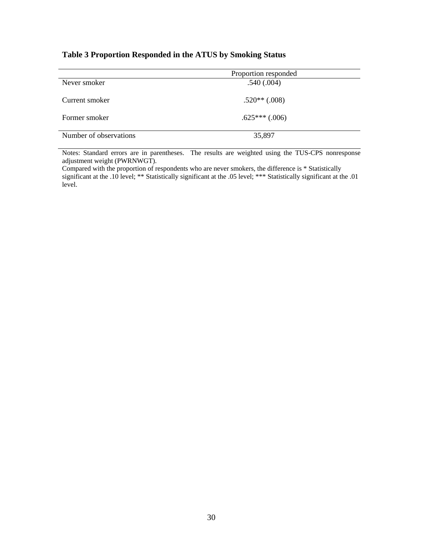## **Table 3 Proportion Responded in the ATUS by Smoking Status**

|                        | Proportion responded |
|------------------------|----------------------|
| Never smoker           | .540(.004)           |
|                        |                      |
| Current smoker         | $.520**(.008)$       |
| Former smoker          | $.625***$ $(.006)$   |
| Number of observations | 35,897               |

Notes: Standard errors are in parentheses. The results are weighted using the TUS-CPS nonresponse adjustment weight (PWRNWGT).

Compared with the proportion of respondents who are never smokers, the difference is \* Statistically significant at the .10 level; \*\* Statistically significant at the .05 level; \*\*\* Statistically significant at the .01 level.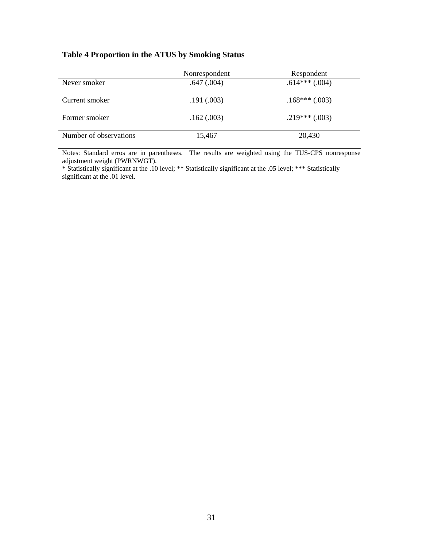## **Table 4 Proportion in the ATUS by Smoking Status**

|                        | Nonrespondent   | Respondent      |
|------------------------|-----------------|-----------------|
| Never smoker           | $.647 \,(.004)$ | $.614***(.004)$ |
| Current smoker         | .191(.003)      | $.168***(.003)$ |
| Former smoker          | .162(.003)      | $.219***(.003)$ |
| Number of observations | 15,467          | 20,430          |

Notes: Standard erros are in parentheses. The results are weighted using the TUS-CPS nonresponse adjustment weight (PWRNWGT).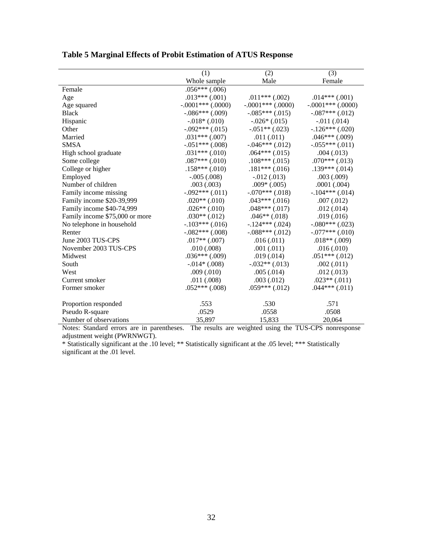|                                | (1)                  | (2)                | (3)                    |
|--------------------------------|----------------------|--------------------|------------------------|
|                                | Whole sample         | Male               | Female                 |
| Female                         | $.056***(.006)$      |                    |                        |
| Age                            | $.013***(.001)$      | $.011***(.002)$    | $.014***(.001)$        |
| Age squared                    | $-.0001$ *** (.0000) | $-.0001***(.0000)$ | $-.0001$ *** $(.0000)$ |
| <b>Black</b>                   | $-.086***$ (.009)    | $-.085***(.015)$   | $-.087***(.012)$       |
| Hispanic                       | $-0.018*(0.010)$     | $-.026*(.015)$     | $-.011(.014)$          |
| Other                          | $-.092***(.015)$     | $-.051**(.023)$    | $-.126***(.020)$       |
| Married                        | $.031***(.007)$      | .011(.011)         | $.046***(.009)$        |
| <b>SMSA</b>                    | $-.051***(.008)$     | $-.046***(.012)$   | $-.055***(.011)$       |
| High school graduate           | $.031***(.010)$      | $.064***(.015)$    | .004(.013)             |
| Some college                   | $.087***(.010)$      | $.108***(.015)$    | $.070***(.013)$        |
| College or higher              | $.158***(.010)$      | $.181***$ (.016)   | $.139***(.014)$        |
| Employed                       | $-.005(.008)$        | $-.012(.013)$      | .003(.009)             |
| Number of children             | .003(.003)           | $.009*(.005)$      | .0001(.004)            |
| Family income missing          | $-.092***(.011)$     | $-.070***(.018)$   | $-.104***(.014)$       |
| Family income \$20-39,999      | $.020**(.010)$       | $.043***(.016)$    | .007(.012)             |
| Family income \$40-74,999      | $.026**(.010)$       | $.048***(.017)$    | .012(.014)             |
| Family income \$75,000 or more | $.030**(.012)$       | $.046**(.018)$     | .019(.016)             |
| No telephone in household      | $-.103***(.016)$     | $-.124***(.024)$   | $-.080***(.023)$       |
| Renter                         | $-.082***$ (.008)    | $-.088***(.012)$   | $-.077***$ (.010)      |
| June 2003 TUS-CPS              | $.017**(.007)$       | .016(.011)         | $.018**(.009)$         |
| November 2003 TUS-CPS          | .010(.008)           | .001(.011)         | .016(.010)             |
| Midwest                        | $.036***(.009)$      | .019(.014)         | $.051***(.012)$        |
| South                          | $-.014*(.008)$       | $-.032**(.013)$    | .002(.011)             |
| West                           | .009(.010)           | .005(.014)         | .012(.013)             |
| Current smoker                 | .011(.008)           | .003(.012)         | $.023**(.011)$         |
| Former smoker                  | $.052***(.008)$      | $.059***(.012)$    | $.044***(.011)$        |
| Proportion responded           | .553                 | .530               | .571                   |
| Pseudo R-square                | .0529                | .0558              | .0508                  |
| Number of observations         | 35,897               | 15,833             | 20,064                 |

# **Table 5 Marginal Effects of Probit Estimation of ATUS Response**

Notes: Standard errors are in parentheses. The results are weighted using the TUS-CPS nonresponse adjustment weight (PWRNWGT).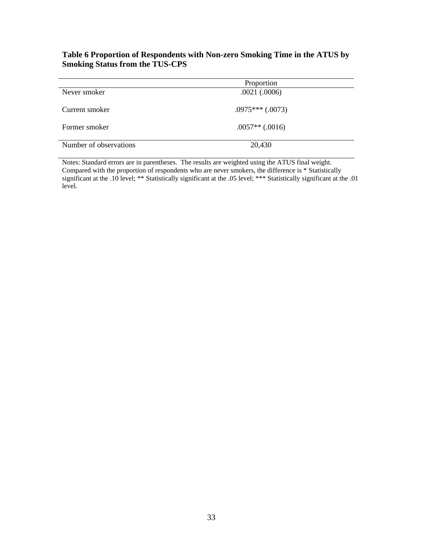### **Table 6 Proportion of Respondents with Non-zero Smoking Time in the ATUS by Smoking Status from the TUS-CPS**

|                        | Proportion        |
|------------------------|-------------------|
| Never smoker           | .0021(.0006)      |
|                        |                   |
| Current smoker         | $.0975***(.0073)$ |
|                        |                   |
| Former smoker          | $.0057**(.0016)$  |
|                        |                   |
| Number of observations | 20,430            |
|                        |                   |

Notes: Standard errors are in parentheses. The results are weighted using the ATUS final weight. Compared with the proportion of respondents who are never smokers, the difference is \* Statistically significant at the .10 level; \*\* Statistically significant at the .05 level; \*\*\* Statistically significant at the .01 level.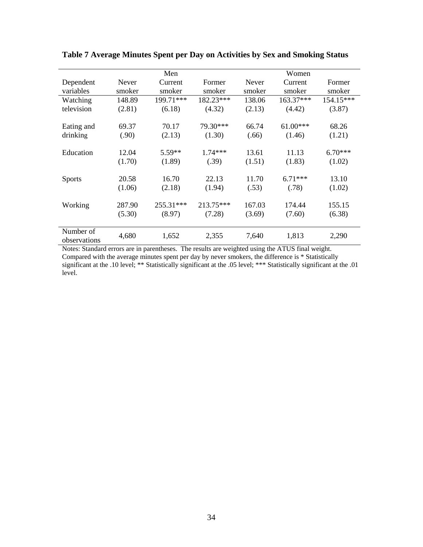|                           |        | Men       |           | Women        |            |           |
|---------------------------|--------|-----------|-----------|--------------|------------|-----------|
| Dependent                 | Never  | Current   | Former    | <b>Never</b> | Current    | Former    |
| variables                 | smoker | smoker    | smoker    | smoker       | smoker     | smoker    |
| Watching                  | 148.89 | 199.71*** | 182.23*** | 138.06       | 163.37***  | 154.15*** |
| television                | (2.81) | (6.18)    | (4.32)    | (2.13)       | (4.42)     | (3.87)    |
|                           |        |           |           |              |            |           |
| Eating and                | 69.37  | 70.17     | 79.30***  | 66.74        | $61.00***$ | 68.26     |
| drinking                  | (.90)  | (2.13)    | (1.30)    | (.66)        | (1.46)     | (1.21)    |
|                           |        |           |           |              |            |           |
| Education                 | 12.04  | $5.59**$  | $1.74***$ | 13.61        | 11.13      | $6.70***$ |
|                           | (1.70) | (1.89)    | (.39)     | (1.51)       | (1.83)     | (1.02)    |
|                           |        | 16.70     | 22.13     | 11.70        | $6.71***$  | 13.10     |
| <b>Sports</b>             | 20.58  |           |           |              |            |           |
|                           | (1.06) | (2.18)    | (1.94)    | (.53)        | (.78)      | (1.02)    |
| Working                   | 287.90 | 255.31*** | 213.75*** | 167.03       | 174.44     | 155.15    |
|                           | (5.30) | (8.97)    | (7.28)    | (3.69)       | (7.60)     | (6.38)    |
|                           |        |           |           |              |            |           |
| Number of<br>observations | 4,680  | 1,652     | 2,355     | 7,640        | 1,813      | 2,290     |

**Table 7 Average Minutes Spent per Day on Activities by Sex and Smoking Status** 

Notes: Standard errors are in parentheses. The results are weighted using the ATUS final weight. Compared with the average minutes spent per day by never smokers, the difference is \* Statistically significant at the .10 level; \*\* Statistically significant at the .05 level; \*\*\* Statistically significant at the .01 level.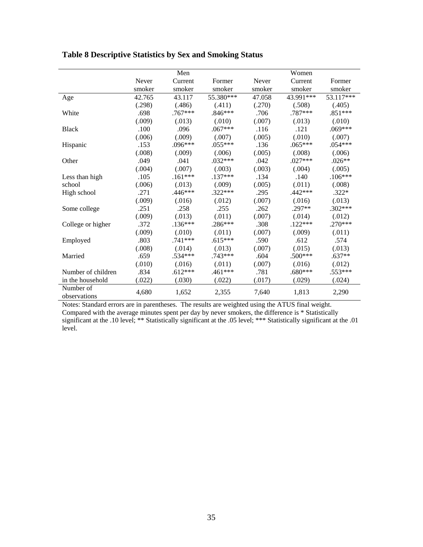|                           |        | Men       |           |        | Women     |           |
|---------------------------|--------|-----------|-----------|--------|-----------|-----------|
|                           | Never  | Current   | Former    | Never  | Current   | Former    |
|                           | smoker | smoker    | smoker    | smoker | smoker    | smoker    |
| Age                       | 42.765 | 43.117    | 55.380*** | 47.058 | 43.991*** | 53.117*** |
|                           | (.298) | (.486)    | (.411)    | (.270) | (.508)    | (.405)    |
| White                     | .698   | $.767***$ | $.846***$ | .706   | .787***   | $.851***$ |
|                           | (.009) | (.013)    | (.010)    | (.007) | (.013)    | (.010)    |
| <b>Black</b>              | .100   | .096      | $.067***$ | .116   | .121      | $.069***$ |
|                           | (.006) | (.009)    | (.007)    | (.005) | (.010)    | (.007)    |
| Hispanic                  | .153   | $.096***$ | $.055***$ | .136   | $.065***$ | $.054***$ |
|                           | (.008) | (.009)    | (.006)    | (.005) | (.008)    | (.006)    |
| Other                     | .049   | .041      | $.032***$ | .042   | $.027***$ | $.026**$  |
|                           | (.004) | (.007)    | (.003)    | (.003) | (.004)    | (.005)    |
| Less than high            | .105   | $.161***$ | $.137***$ | .134   | .140      | $.106***$ |
| school                    | (.006) | (.013)    | (.009)    | (.005) | (.011)    | (.008)    |
| High school               | .271   | $.446***$ | $.322***$ | .295   | $.442***$ | $.322*$   |
|                           | (.009) | (.016)    | (.012)    | (.007) | (.016)    | (.013)    |
| Some college              | .251   | .258      | .255      | .262   | $.297**$  | $.302***$ |
|                           | (.009) | (.013)    | (.011)    | (.007) | (.014)    | (.012)    |
| College or higher         | .372   | $.136***$ | $.286***$ | .308   | $.122***$ | $.270***$ |
|                           | (.009) | (.010)    | (.011)    | (.007) | (.009)    | (.011)    |
| Employed                  | .803   | $.741***$ | $.615***$ | .590   | .612      | .574      |
|                           | (.008) | (.014)    | (.013)    | (.007) | (.015)    | (.013)    |
| Married                   | .659   | $.534***$ | $.743***$ | .604   | $.500***$ | $.637**$  |
|                           | (.010) | (.016)    | (.011)    | (.007) | (.016)    | (.012)    |
| Number of children        | .834   | $.612***$ | $.461***$ | .781   | .680***   | $.553***$ |
| in the household          | (.022) | (.030)    | (.022)    | (.017) | (.029)    | (.024)    |
| Number of<br>observations | 4,680  | 1,652     | 2,355     | 7,640  | 1,813     | 2,290     |

## **Table 8 Descriptive Statistics by Sex and Smoking Status**

Notes: Standard errors are in parentheses. The results are weighted using the ATUS final weight.

Compared with the average minutes spent per day by never smokers, the difference is \* Statistically significant at the .10 level; \*\* Statistically significant at the .05 level; \*\*\* Statistically significant at the .01  $level.$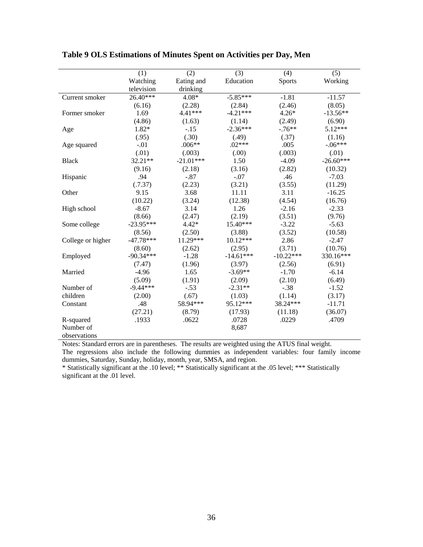|                                                                                                                         |                                                                     |                                                                            | (3)                                                                              |                                                                                | (5)                                                                                                    |
|-------------------------------------------------------------------------------------------------------------------------|---------------------------------------------------------------------|----------------------------------------------------------------------------|----------------------------------------------------------------------------------|--------------------------------------------------------------------------------|--------------------------------------------------------------------------------------------------------|
|                                                                                                                         | (1)                                                                 | (2)                                                                        |                                                                                  | (4)                                                                            |                                                                                                        |
|                                                                                                                         | Watching                                                            | Eating and                                                                 | Education                                                                        | <b>Sports</b>                                                                  | Working                                                                                                |
|                                                                                                                         | television                                                          | drinking                                                                   |                                                                                  |                                                                                |                                                                                                        |
| Current smoker                                                                                                          | 26.40***                                                            | $4.08*$                                                                    | $-5.85***$                                                                       | $-1.81$                                                                        | $-11.57$                                                                                               |
|                                                                                                                         | (6.16)                                                              | (2.28)                                                                     | (2.84)                                                                           | (2.46)                                                                         | (8.05)                                                                                                 |
| Former smoker                                                                                                           | 1.69                                                                | 4.41***                                                                    | $-4.21***$                                                                       | $4.26*$                                                                        | $-13.56**$                                                                                             |
|                                                                                                                         | (4.86)                                                              | (1.63)                                                                     | (1.14)                                                                           | (2.49)                                                                         | (6.90)                                                                                                 |
| Age                                                                                                                     | 1.82*                                                               | $-.15$                                                                     | $-2.36***$                                                                       | $-.76**$                                                                       | $5.12***$                                                                                              |
|                                                                                                                         | (.95)                                                               | (.30)                                                                      | (.49)                                                                            | (.37)                                                                          | (1.16)                                                                                                 |
| Age squared                                                                                                             | $-.01$                                                              | $.006**$                                                                   | $.02***$                                                                         | .005                                                                           | $-.06***$                                                                                              |
|                                                                                                                         | (.01)                                                               | (.003)                                                                     | (.00)                                                                            | (.003)                                                                         | (.01)                                                                                                  |
| <b>Black</b>                                                                                                            | 32.21**                                                             | $-21.01***$                                                                | 1.50                                                                             | $-4.09$                                                                        | $-26.60***$                                                                                            |
|                                                                                                                         | (9.16)                                                              | (2.18)                                                                     | (3.16)                                                                           | (2.82)                                                                         | (10.32)                                                                                                |
| Hispanic                                                                                                                | .94                                                                 | $-.87$                                                                     | $-.07$                                                                           | .46                                                                            | $-7.03$                                                                                                |
|                                                                                                                         | (.7.37)                                                             | (2.23)                                                                     | (3.21)                                                                           | (3.55)                                                                         | (11.29)                                                                                                |
| Other                                                                                                                   | 9.15                                                                | 3.68                                                                       | 11.11                                                                            | 3.11                                                                           | $-16.25$                                                                                               |
|                                                                                                                         | (10.22)                                                             | (3.24)                                                                     | (12.38)                                                                          | (4.54)                                                                         | (16.76)                                                                                                |
| High school                                                                                                             | $-8.67$                                                             | 3.14                                                                       | 1.26                                                                             | $-2.16$                                                                        | $-2.33$                                                                                                |
|                                                                                                                         | (8.66)                                                              | (2.47)                                                                     | (2.19)                                                                           | (3.51)                                                                         | (9.76)                                                                                                 |
| Some college                                                                                                            | $-23.95***$                                                         | $4.42*$                                                                    | 15.40***                                                                         | $-3.22$                                                                        | $-5.63$                                                                                                |
|                                                                                                                         | (8.56)                                                              | (2.50)                                                                     | (3.88)                                                                           |                                                                                |                                                                                                        |
|                                                                                                                         | $-47.78***$                                                         | 11.29***                                                                   | 10.12***                                                                         | 2.86                                                                           |                                                                                                        |
|                                                                                                                         | (8.60)                                                              | (2.62)                                                                     | (2.95)                                                                           | (3.71)                                                                         | (10.76)                                                                                                |
|                                                                                                                         | $-90.34***$                                                         | $-1.28$                                                                    | $-14.61***$                                                                      | $-10.22***$                                                                    | 330.16***                                                                                              |
|                                                                                                                         |                                                                     |                                                                            |                                                                                  |                                                                                |                                                                                                        |
|                                                                                                                         | $-4.96$                                                             |                                                                            | $-3.69**$                                                                        | $-1.70$                                                                        |                                                                                                        |
|                                                                                                                         |                                                                     |                                                                            |                                                                                  |                                                                                |                                                                                                        |
|                                                                                                                         |                                                                     |                                                                            |                                                                                  |                                                                                |                                                                                                        |
|                                                                                                                         |                                                                     |                                                                            |                                                                                  |                                                                                |                                                                                                        |
|                                                                                                                         |                                                                     |                                                                            |                                                                                  |                                                                                |                                                                                                        |
|                                                                                                                         |                                                                     |                                                                            |                                                                                  |                                                                                |                                                                                                        |
|                                                                                                                         |                                                                     |                                                                            |                                                                                  |                                                                                |                                                                                                        |
|                                                                                                                         |                                                                     |                                                                            |                                                                                  |                                                                                |                                                                                                        |
|                                                                                                                         |                                                                     |                                                                            |                                                                                  |                                                                                |                                                                                                        |
| College or higher<br>Employed<br>Married<br>Number of<br>children<br>Constant<br>R-squared<br>Number of<br>observations | (7.47)<br>(5.09)<br>$-9.44***$<br>(2.00)<br>.48<br>(27.21)<br>.1933 | (1.96)<br>1.65<br>(1.91)<br>$-.53$<br>(.67)<br>58.94***<br>(8.79)<br>.0622 | (3.97)<br>(2.09)<br>$-2.31**$<br>(1.03)<br>95.12***<br>(17.93)<br>.0728<br>8,687 | (3.52)<br>(2.56)<br>(2.10)<br>$-.38$<br>(1.14)<br>38.24***<br>(11.18)<br>.0229 | (10.58)<br>$-2.47$<br>(6.91)<br>$-6.14$<br>(6.49)<br>$-1.52$<br>(3.17)<br>$-11.71$<br>(36.07)<br>.4709 |

**Table 9 OLS Estimations of Minutes Spent on Activities per Day, Men** 

The regressions also include the following dummies as independent variables: four family income dummies, Saturday, Sunday, holiday, month, year, SMSA, and region.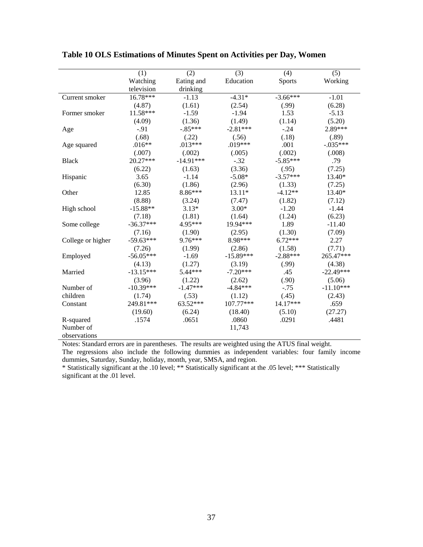|                   | (1)         | (2)         | (3)         | (4)           | (5)         |
|-------------------|-------------|-------------|-------------|---------------|-------------|
|                   | Watching    | Eating and  | Education   | <b>Sports</b> | Working     |
|                   | television  | drinking    |             |               |             |
| Current smoker    | 16.78***    | $-1.13$     | $-4.31*$    | $-3.66***$    | $-1.01$     |
|                   | (4.87)      | (1.61)      | (2.54)      | (.99)         | (6.28)      |
| Former smoker     | 11.58***    | $-1.59$     | $-1.94$     | 1.53          | $-5.13$     |
|                   | (4.09)      | (1.36)      | (1.49)      | (1.14)        | (5.20)      |
| Age               | $-.91$      | $-.85***$   | $-2.81***$  | $-.24$        | 2.89***     |
|                   | (.68)       | (.22)       | (.56)       | (.18)         | (.89)       |
| Age squared       | $.016**$    | $.013***$   | $.019***$   | .001          | $-.035***$  |
|                   | (.007)      | (.002)      | (.005)      | (.002)        | (.008)      |
| <b>Black</b>      | 20.27***    | $-14.91***$ | $-.32$      | $-5.85***$    | .79         |
|                   | (6.22)      | (1.63)      | (3.36)      | (.95)         | (7.25)      |
| Hispanic          | 3.65        | $-1.14$     | $-5.08*$    | $-3.57***$    | 13.40*      |
|                   | (6.30)      | (1.86)      | (2.96)      | (1.33)        | (7.25)      |
| Other             | 12.85       | 8.86***     | 13.11*      | $-4.12**$     | 13.40*      |
|                   | (8.88)      | (3.24)      | (7.47)      | (1.82)        | (7.12)      |
| High school       | $-15.88**$  | $3.13*$     | $3.00*$     | $-1.20$       | $-1.44$     |
|                   | (7.18)      | (1.81)      | (1.64)      | (1.24)        | (6.23)      |
| Some college      | $-36.37***$ | 4.95***     | 19.94***    | 1.89          | $-11.40$    |
|                   | (7.16)      | (1.90)      | (2.95)      | (1.30)        | (7.09)      |
| College or higher | $-59.63***$ | $9.76***$   | 8.98***     | $6.72***$     | 2.27        |
|                   | (7.26)      | (1.99)      | (2.86)      | (1.58)        | (7.71)      |
| Employed          | $-56.05***$ | $-1.69$     | $-15.89***$ | $-2.88***$    | 265.47***   |
|                   | (4.13)      | (1.27)      | (3.19)      | (.99)         | (4.38)      |
| Married           | $-13.15***$ | $5.44***$   | $-7.20***$  | .45           | $-22.49***$ |
|                   | (3.96)      | (1.22)      | (2.62)      | (.90)         | (5.06)      |
| Number of         | $-10.39***$ | $-1.47***$  | $-4.84***$  | $-.75$        | $-11.10***$ |
| children          | (1.74)      | (.53)       | (1.12)      | (.45)         | (2.43)      |
| Constant          | 249.81***   | 63.52***    | 107.77***   | 14.17***      | .659        |
|                   | (19.60)     | (6.24)      | (18.40)     | (5.10)        | (27.27)     |
| R-squared         | .1574       | .0651       | .0860       | .0291         | .4481       |
| Number of         |             |             | 11,743      |               |             |
| observations      |             |             |             |               |             |

**Table 10 OLS Estimations of Minutes Spent on Activities per Day, Women** 

The regressions also include the following dummies as independent variables: four family income dummies, Saturday, Sunday, holiday, month, year, SMSA, and region.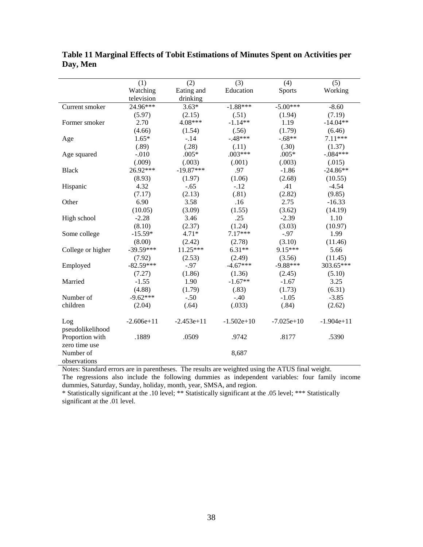|                                            | (1)          | (2)          | (3)          | (4)           | (5)          |
|--------------------------------------------|--------------|--------------|--------------|---------------|--------------|
|                                            | Watching     | Eating and   | Education    | <b>Sports</b> | Working      |
|                                            | television   | drinking     |              |               |              |
| Current smoker                             | $24.96***$   | $3.63*$      | $-1.88***$   | $-5.00***$    | $-8.60$      |
|                                            | (5.97)       | (2.15)       | (.51)        | (1.94)        | (7.19)       |
| Former smoker                              | 2.70         | 4.08***      | $-1.14**$    | 1.19          | $-14.04**$   |
|                                            | (4.66)       | (1.54)       | (.56)        | (1.79)        | (6.46)       |
| Age                                        | $1.65*$      | $-.14$       | $-.48***$    | $-.68**$      | $7.11***$    |
|                                            | (.89)        | (.28)        | (.11)        | (.30)         | (1.37)       |
| Age squared                                | $-.010$      | $.005*$      | $.003***$    | $.005*$       | $-.084***$   |
|                                            | (.009)       | (.003)       | (.001)       | (.003)        | (.015)       |
| <b>Black</b>                               | 26.92***     | $-19.87***$  | .97          | $-1.86$       | $-24.86**$   |
|                                            | (8.93)       | (1.97)       | (1.06)       | (2.68)        | (10.55)      |
| Hispanic                                   | 4.32         | $-.65$       | $-.12$       | .41           | $-4.54$      |
|                                            | (7.17)       | (2.13)       | (.81)        | (2.82)        | (9.85)       |
| Other                                      | 6.90         | 3.58         | .16          | 2.75          | $-16.33$     |
|                                            | (10.05)      | (3.09)       | (1.55)       | (3.62)        | (14.19)      |
| High school                                | $-2.28$      | 3.46         | .25          | $-2.39$       | 1.10         |
|                                            | (8.10)       | (2.37)       | (1.24)       | (3.03)        | (10.97)      |
| Some college                               | $-15.59*$    | $4.71*$      | 7.17***      | $-.97$        | 1.99         |
|                                            | (8.00)       | (2.42)       | (2.78)       | (3.10)        | (11.46)      |
| College or higher                          | $-39.59***$  | 11.25***     | $6.31**$     | 9.15***       | 5.66         |
|                                            | (7.92)       | (2.53)       | (2.49)       | (3.56)        | (11.45)      |
| Employed                                   | $-82.59***$  | $-.97$       | $-4.67***$   | $-9.88***$    | 303.65***    |
|                                            | (7.27)       | (1.86)       | (1.36)       | (2.45)        | (5.10)       |
| Married                                    | $-1.55$      | 1.90         | $-1.67**$    | $-1.67$       | 3.25         |
|                                            | (4.88)       | (1.79)       | (.83)        | (1.73)        | (6.31)       |
| Number of                                  | $-9.62***$   | $-.50$       | $-.40$       | $-1.05$       | $-3.85$      |
| children                                   | (2.04)       | (.64)        | (.033)       | (.84)         | (2.62)       |
| Log                                        | $-2.606e+11$ | $-2.453e+11$ | $-1.502e+10$ | $-7.025e+10$  | $-1.904e+11$ |
| pseudolikelihood                           |              |              |              |               |              |
| Proportion with                            | .1889        | .0509        | .9742        | .8177         | .5390        |
| zero time use<br>Number of<br>observations |              |              | 8,687        |               |              |

**Table 11 Marginal Effects of Tobit Estimations of Minutes Spent on Activities per Day, Men** 

The regressions also include the following dummies as independent variables: four family income dummies, Saturday, Sunday, holiday, month, year, SMSA, and region.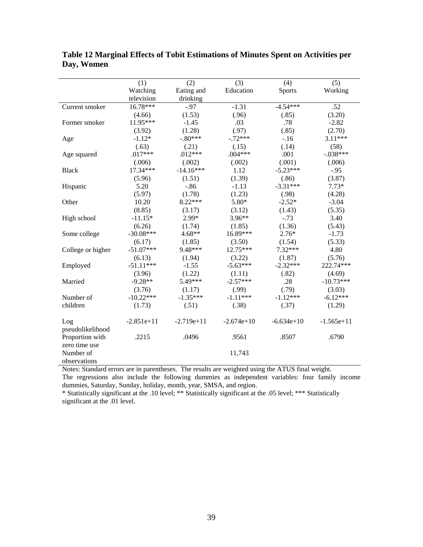|                   | (1)          | (2)          | (3)          | (4)           | (5)          |
|-------------------|--------------|--------------|--------------|---------------|--------------|
|                   | Watching     | Eating and   | Education    | <b>Sports</b> | Working      |
|                   | television   | drinking     |              |               |              |
| Current smoker    | 16.78***     | $-.97$       | $-1.31$      | $-4.54***$    | .52          |
|                   | (4.66)       | (1.53)       | (.96)        | (.85)         | (3.20)       |
| Former smoker     | 11.95***     | $-1.45$      | .03          | .78           | $-2.82$      |
|                   | (3.92)       | (1.28)       | (.97)        | (.85)         | (2.70)       |
| Age               | $-1.12*$     | $-.80***$    | $-.72***$    | $-16$         | $3.11***$    |
|                   | (.63)        | (.21)        | (.15)        | (.14)         | (58)         |
| Age squared       | $.017***$    | $.012***$    | $.004***$    | .001          | $-.038***$   |
|                   | (.006)       | (.002)       | (.002)       | (.001)        | (.006)       |
| <b>Black</b>      | 17.34***     | $-14.16***$  | 1.12         | $-5.23***$    | $-.95$       |
|                   | (5.96)       | (1.51)       | (1.39)       | (.86)         | (3.87)       |
| Hispanic          | 5.20         | $-.86$       | $-1.13$      | $-3.31***$    | $7.73*$      |
|                   | (5.97)       | (1.78)       | (1.23)       | (.98)         | (4.28)       |
| Other             | 10.20        | 8.22***      | 5.80*        | $-2.52*$      | $-3.04$      |
|                   | (8.85)       | (3.17)       | (3.12)       | (1.43)        | (5.35)       |
| High school       | $-11.15*$    | 2.99*        | 3.96**       | $-.73$        | 3.40         |
|                   | (6.26)       | (1.74)       | (1.85)       | (1.36)        | (5.43)       |
| Some college      | $-30.08***$  | $4.68**$     | 16.89***     | $2.76*$       | $-1.73$      |
|                   | (6.17)       | (1.85)       | (3.50)       | (1.54)        | (5.33)       |
| College or higher | $-51.07***$  | 9.48***      | 12.75***     | 7.32***       | 4.80         |
|                   | (6.13)       | (1.94)       | (3.22)       | (1.87)        | (5.76)       |
| Employed          | $-51.11***$  | $-1.55$      | $-5.63***$   | $-2.32***$    | 222.74***    |
|                   | (3.96)       | (1.22)       | (1.11)       | (.82)         | (4.69)       |
| Married           | $-9.28**$    | 5.49***      | $-2.57***$   | .28           | $-10.73***$  |
|                   | (3.76)       | (1.17)       | (.99)        | (.79)         | (3.03)       |
| Number of         | $-10.22***$  | $-1.35***$   | $-1.11***$   | $-1.12***$    | $-6.12***$   |
| children          | (1.73)       | (.51)        | (.38)        | (.37)         | (1.29)       |
| Log               | $-2.851e+11$ | $-2.719e+11$ | $-2.674e+10$ | $-6.634e+10$  | $-1.565e+11$ |
| pseudolikelihood  |              |              |              |               |              |
| Proportion with   | .2215        | .0496        | .9561        | .8507         | .6790        |
| zero time use     |              |              |              |               |              |
| Number of         |              |              | 11,743       |               |              |
| observations      |              |              |              |               |              |

**Table 12 Marginal Effects of Tobit Estimations of Minutes Spent on Activities per Day, Women** 

The regressions also include the following dummies as independent variables: four family income dummies, Saturday, Sunday, holiday, month, year, SMSA, and region.